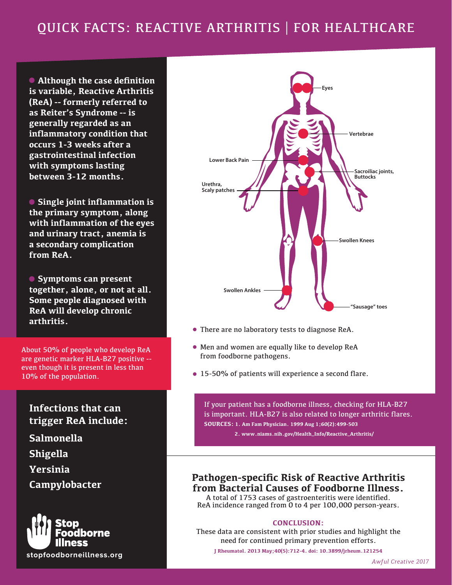# QUICK FACTS: REACTIVE ARTHRITIS | FOR HEALTHCARE

 **Although the case definition is variable, Reactive Arthritis (ReA) -- formerly referred to as Reiter's Syndrome -- is generally regarded as an inflammatory condition that occurs 1-3 weeks after a gastrointestinal infection with symptoms lasting between 3-12 months.**

 **Single joint inflammation is the primary symptom, along with inflammation of the eyes and urinary tract, anemia is a secondary complication from ReA.**

 **Symptoms can present together, alone, or not at all. Some people diagnosed with ReA will develop chronic arthritis.**

About 50% of people who develop ReA are genetic marker HLA-B27 positive - even though it is present in less than 10% of the population.

#### **Infections that can trigger ReA include:**

**Salmonella Shigella Yersinia Campylobacter**





- There are no laboratory tests to diagnose ReA.
- Men and women are equally like to develop ReA from foodborne pathogens.
- 15-50% of patients will experience a second flare.

If your patient has a foodborne illness, checking for HLA-B27 is important. HLA-B27 is also related to longer arthritic flares. **SOURCES: 1. Am Fam Physician. 1999 Aug 1;60(2):499-503** 

 **2. www.niams.nih.gov/Health\_Info/Reactive\_Arthritis/**

### **Pathogen-specific Risk of Reactive Arthritis from Bacterial Causes of Foodborne Illness.**

A total of 1753 cases of gastroenteritis were identified. ReA incidence ranged from 0 to 4 per 100,000 person-years.

#### **CONCLUSION:**

These data are consistent with prior studies and highlight the need for continued primary prevention efforts.

**J Rheumatol. 2013 May;40(5):712-4. doi: 10.3899/jrheum.121254**